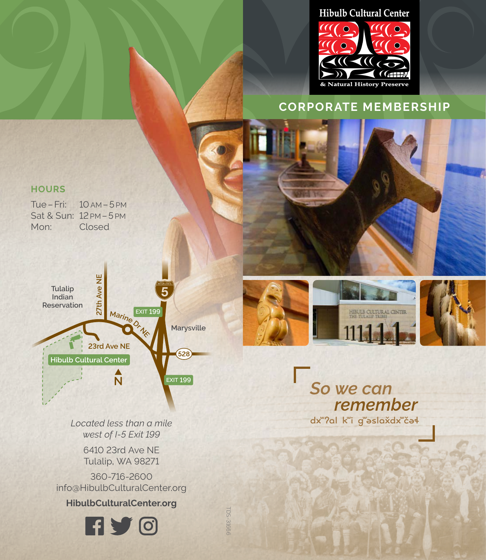# **Hibulb Cultural Center**



# **CORPORATE MEMBERSHIP**

# **HOURS**

Tue–Fri: 10AM–5 PM Sat & Sun: 12 PM - 5 PM Mon: Closed



*Located less than a mile west of I-5 Exit 199* 

> 6410 23rd Ave NE Tulalip, WA 98271

360-716-2600 info@HibulbCulturalCenter.org

**HibulbCulturalCenter.org**



TDS-31666

TDS-31666



So we can remember dx"?al k"i g"aslaxdx"ča4

ı